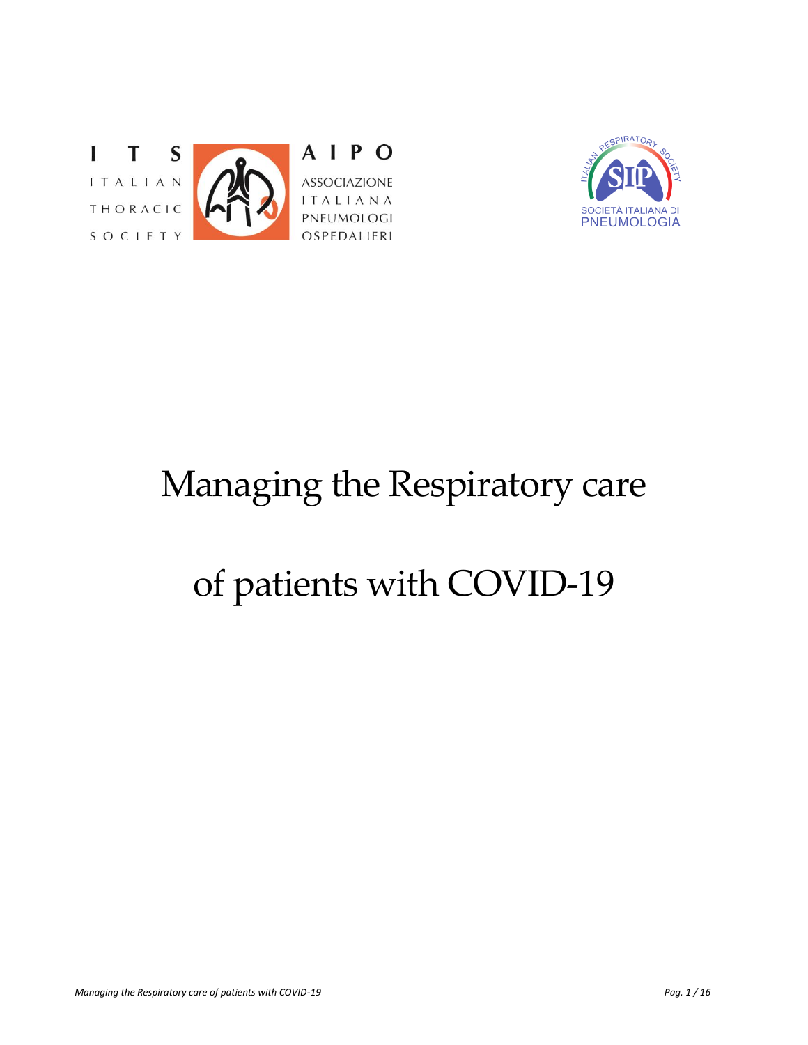



# Managing the Respiratory care

# of patients with COVID-19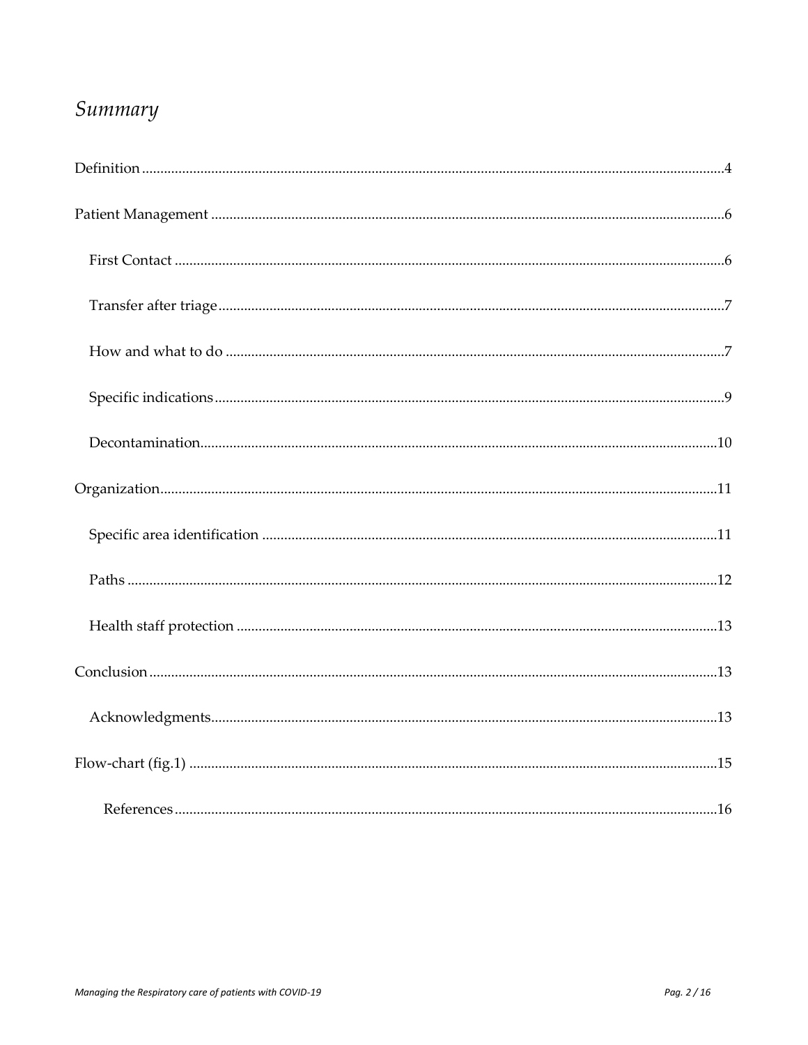# Summary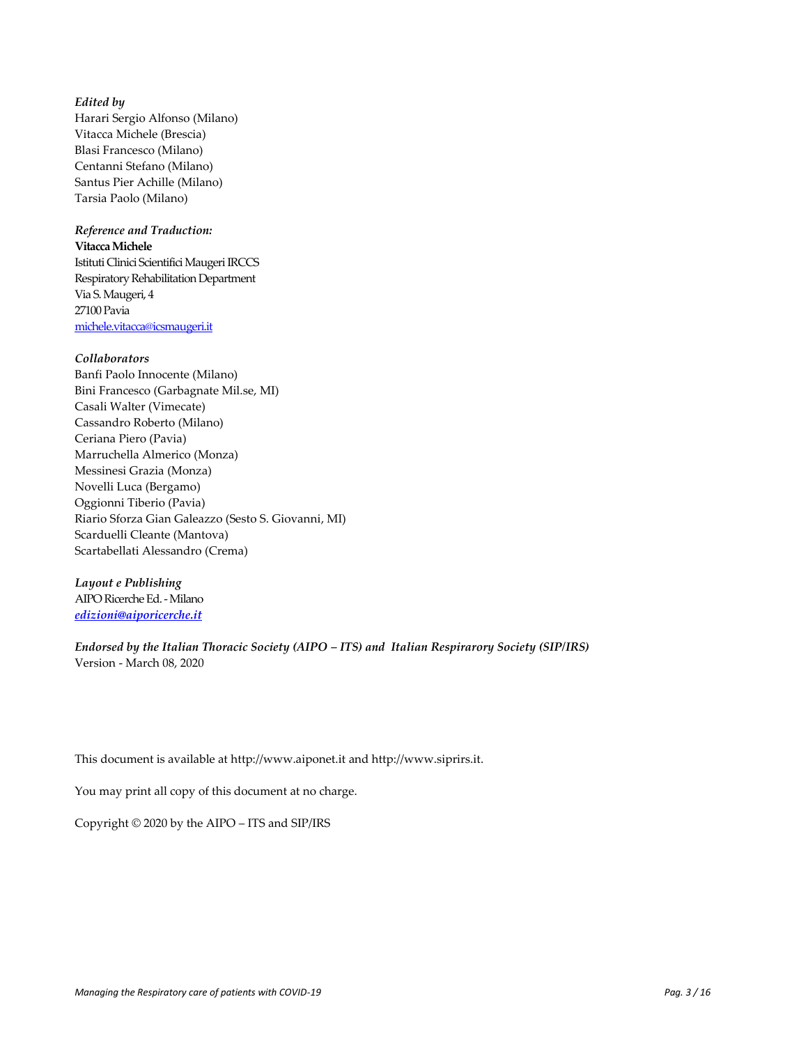#### *Edited by*

Harari Sergio Alfonso (Milano) Vitacca Michele (Brescia) Blasi Francesco (Milano) Centanni Stefano (Milano) Santus Pier Achille (Milano) Tarsia Paolo (Milano)

#### *Reference and Traduction:*

**VitaccaMichele**

Istituti Clinici Scientifici Maugeri IRCCS Respiratory Rehabilitation Department Via S. Maugeri, 4 27100 Pavia [michele.vitacca@icsmaugeri.it](mailto:michele.vitacca@icsmaugeri.it)

#### *Collaborators*

Banfi Paolo Innocente (Milano) Bini Francesco (Garbagnate Mil.se, MI) Casali Walter (Vimecate) Cassandro Roberto (Milano) Ceriana Piero (Pavia) Marruchella Almerico (Monza) Messinesi Grazia (Monza) Novelli Luca (Bergamo) Oggionni Tiberio (Pavia) Riario Sforza Gian Galeazzo (Sesto S. Giovanni, MI) Scarduelli Cleante (Mantova) Scartabellati Alessandro (Crema)

*Layout e Publishing* AIPO Ricerche Ed. - Milano *[edizioni@aiporicerche.it](mailto:edizioni@aiporicerche.it)*

*Endorsed by the Italian Thoracic Society (AIPO – ITS) and Italian Respirarory Society (SIP/IRS)* Version - March 08, 2020

This document is available at [http://www.aiponet.it](http://www.aiponet.it/) and [http://www.siprirs.it.](http://www.siprirs.it/)

You may print all copy of this document at no charge.

Copyright © 2020 by the AIPO – ITS and SIP/IRS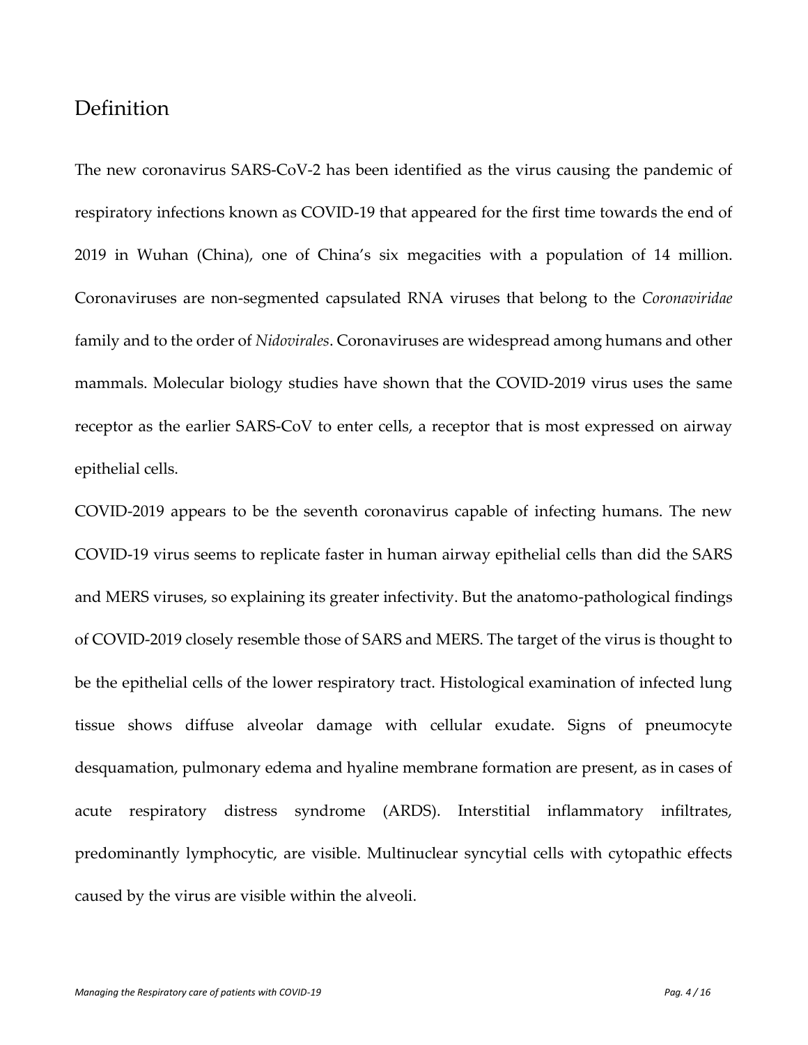### <span id="page-3-0"></span>Definition

The new coronavirus SARS-CoV-2 has been identified as the virus causing the pandemic of respiratory infections known as COVID-19 that appeared for the first time towards the end of 2019 in Wuhan (China), one of China's six megacities with a population of 14 million. Coronaviruses are non-segmented capsulated RNA viruses that belong to the *Coronaviridae* family and to the order of *Nidovirales*. Coronaviruses are widespread among humans and other mammals. Molecular biology studies have shown that the COVID-2019 virus uses the same receptor as the earlier SARS-CoV to enter cells, a receptor that is most expressed on airway epithelial cells.

COVID-2019 appears to be the seventh coronavirus capable of infecting humans. The new COVID-19 virus seems to replicate faster in human airway epithelial cells than did the SARS and MERS viruses, so explaining its greater infectivity. But the anatomo-pathological findings of COVID-2019 closely resemble those of SARS and MERS. The target of the virus is thought to be the epithelial cells of the lower respiratory tract. Histological examination of infected lung tissue shows diffuse alveolar damage with cellular exudate. Signs of pneumocyte desquamation, pulmonary edema and hyaline membrane formation are present, as in cases of acute respiratory distress syndrome (ARDS). Interstitial inflammatory infiltrates, predominantly lymphocytic, are visible. Multinuclear syncytial cells with cytopathic effects caused by the virus are visible within the alveoli.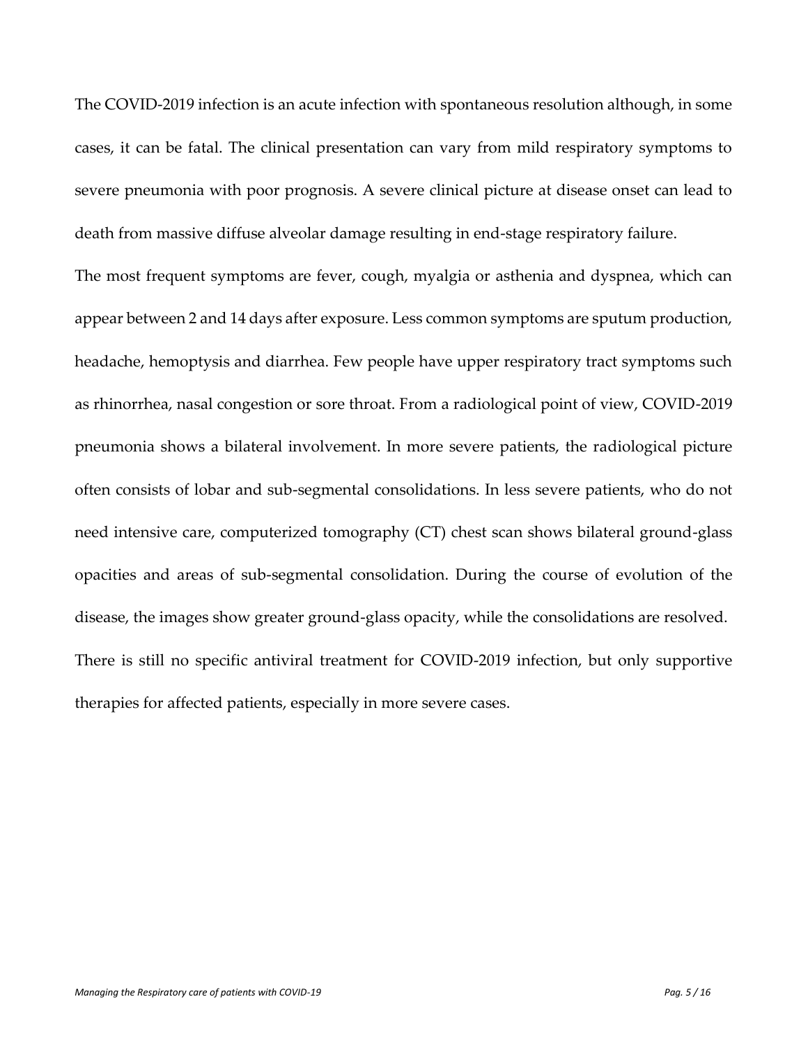The COVID-2019 infection is an acute infection with spontaneous resolution although, in some cases, it can be fatal. The clinical presentation can vary from mild respiratory symptoms to severe pneumonia with poor prognosis. A severe clinical picture at disease onset can lead to death from massive diffuse alveolar damage resulting in end-stage respiratory failure.

The most frequent symptoms are fever, cough, myalgia or asthenia and dyspnea, which can appear between 2 and 14 days after exposure. Less common symptoms are sputum production, headache, hemoptysis and diarrhea. Few people have upper respiratory tract symptoms such as rhinorrhea, nasal congestion or sore throat. From a radiological point of view, COVID-2019 pneumonia shows a bilateral involvement. In more severe patients, the radiological picture often consists of lobar and sub-segmental consolidations. In less severe patients, who do not need intensive care, computerized tomography (CT) chest scan shows bilateral ground-glass opacities and areas of sub-segmental consolidation. During the course of evolution of the disease, the images show greater ground-glass opacity, while the consolidations are resolved. There is still no specific antiviral treatment for COVID-2019 infection, but only supportive therapies for affected patients, especially in more severe cases.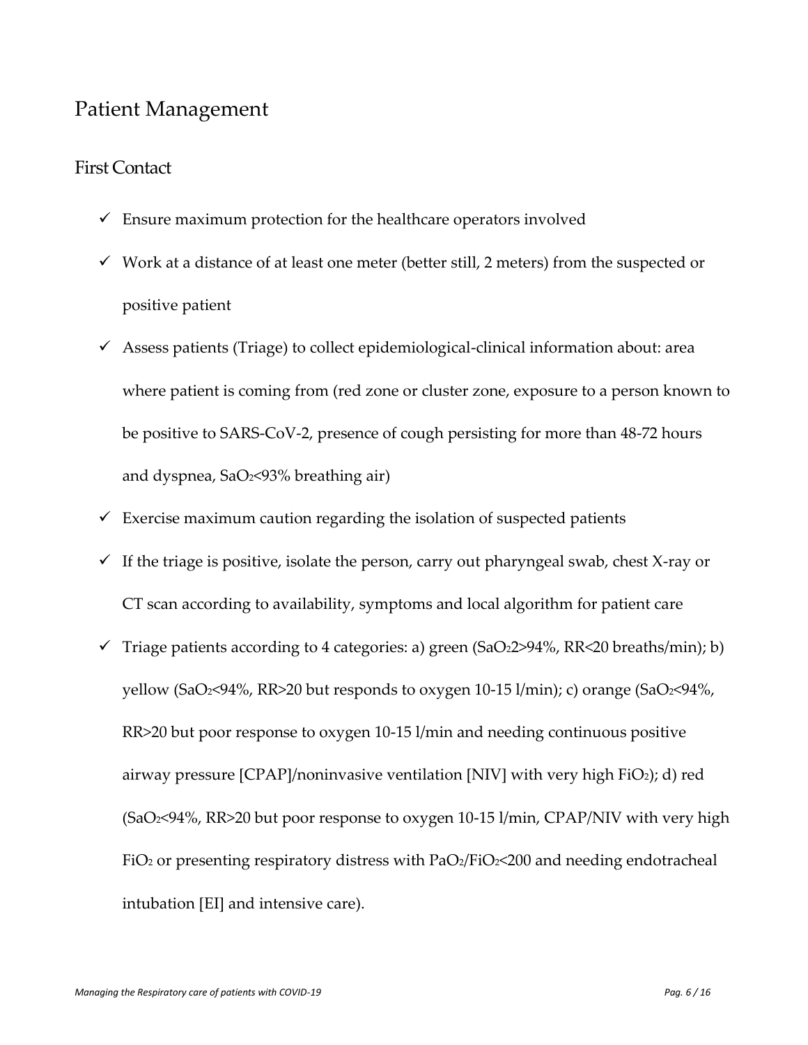## <span id="page-5-0"></span>Patient Management

#### <span id="page-5-1"></span>First Contact

- $\checkmark$  Ensure maximum protection for the healthcare operators involved
- $\checkmark$  Work at a distance of at least one meter (better still, 2 meters) from the suspected or positive patient
- $\checkmark$  Assess patients (Triage) to collect epidemiological-clinical information about: area where patient is coming from (red zone or cluster zone, exposure to a person known to be positive to SARS-CoV-2, presence of cough persisting for more than 48-72 hours and dyspnea, SaO2<93% breathing air)
- $\checkmark$  Exercise maximum caution regarding the isolation of suspected patients
- $\checkmark$  If the triage is positive, isolate the person, carry out pharyngeal swab, chest X-ray or CT scan according to availability, symptoms and local algorithm for patient care
- $\checkmark$  Triage patients according to 4 categories: a) green (SaO22>94%, RR<20 breaths/min); b) yellow (SaO2<94%, RR>20 but responds to oxygen 10-15 l/min); c) orange (SaO2<94%, RR>20 but poor response to oxygen 10-15 l/min and needing continuous positive airway pressure [CPAP]/noninvasive ventilation [NIV] with very high FiO2); d) red (SaO2<94%, RR>20 but poor response to oxygen 10-15 l/min, CPAP/NIV with very high FiO<sub>2</sub> or presenting respiratory distress with  $PaO<sub>2</sub>/FiO<sub>2</sub><$  and needing endotracheal intubation [EI] and intensive care).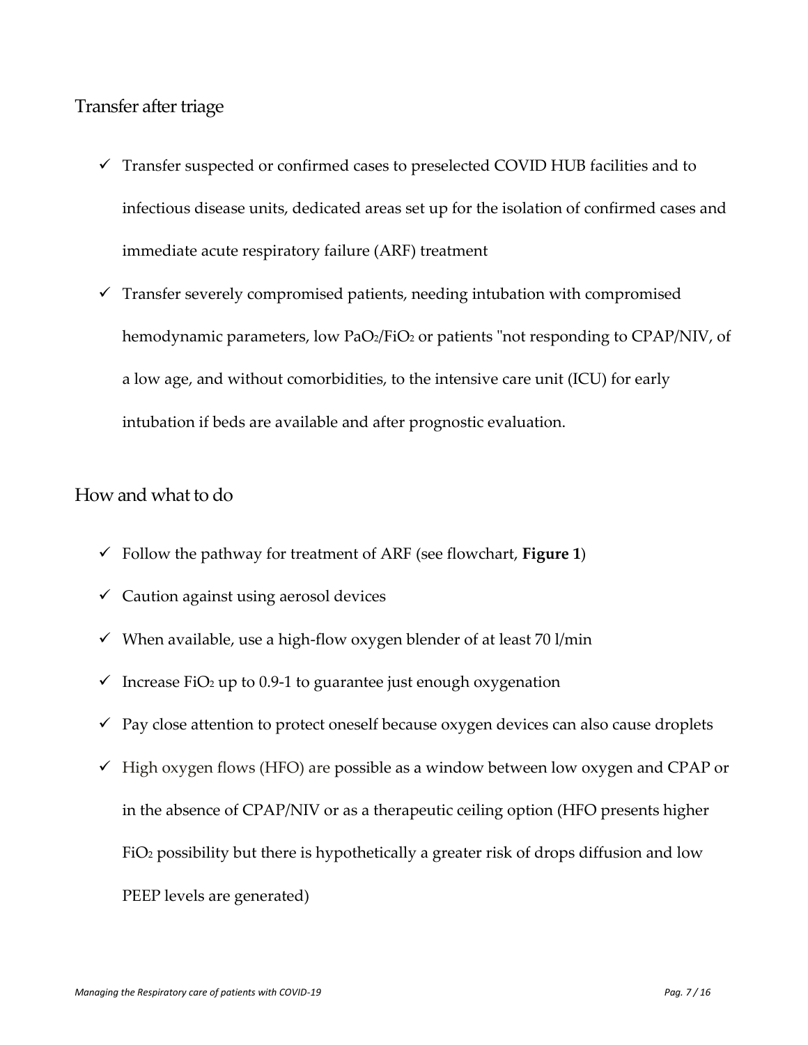#### <span id="page-6-0"></span>Transfer after triage

- $\checkmark$  Transfer suspected or confirmed cases to preselected COVID HUB facilities and to infectious disease units, dedicated areas set up for the isolation of confirmed cases and immediate acute respiratory failure (ARF) treatment
- $\checkmark$  Transfer severely compromised patients, needing intubation with compromised hemodynamic parameters, low PaO2/FiO2 or patients "not responding to CPAP/NIV, of a low age, and without comorbidities, to the intensive care unit (ICU) for early intubation if beds are available and after prognostic evaluation.

#### <span id="page-6-1"></span>How and what to do

- $\checkmark$  Follow the pathway for treatment of ARF (see flowchart, **Figure 1**)
- $\checkmark$  Caution against using aerosol devices
- $\checkmark$  When available, use a high-flow oxygen blender of at least 70 l/min
- $\checkmark$  Increase FiO<sub>2</sub> up to 0.9-1 to guarantee just enough oxygenation
- $\checkmark$  Pay close attention to protect oneself because oxygen devices can also cause droplets
- $\checkmark$  High oxygen flows (HFO) are possible as a window between low oxygen and CPAP or in the absence of CPAP/NIV or as a therapeutic ceiling option (HFO presents higher FiO<sup>2</sup> possibility but there is hypothetically a greater risk of drops diffusion and low PEEP levels are generated)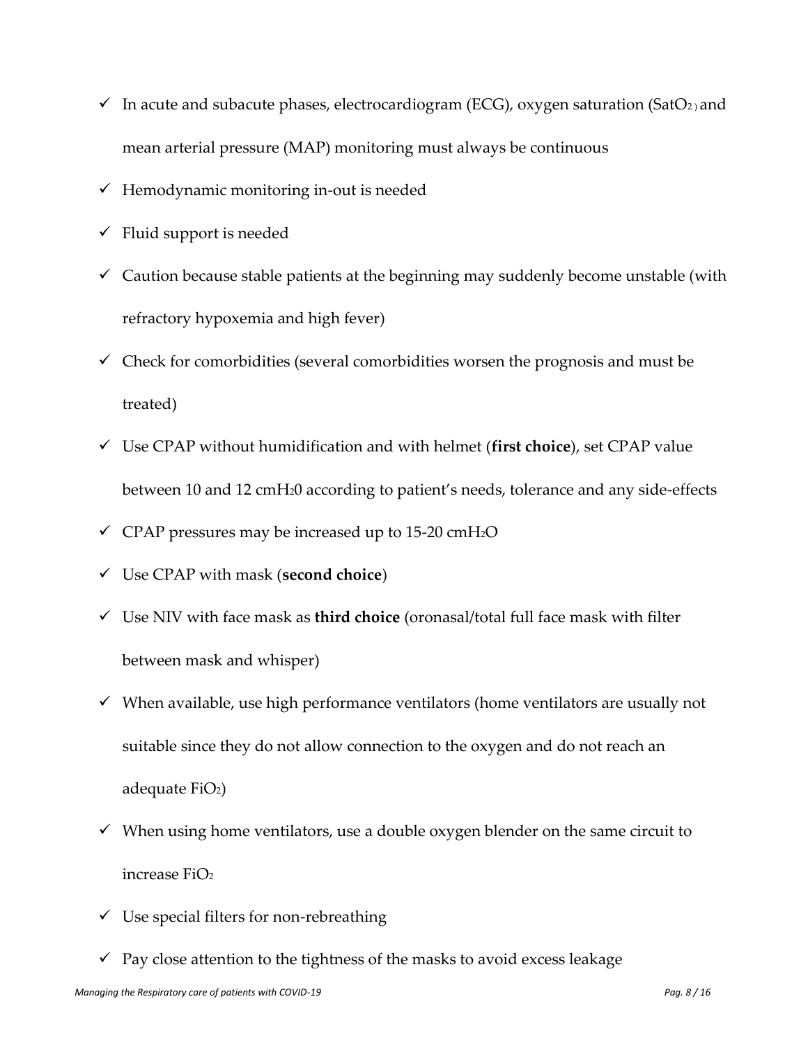- $\checkmark$  In acute and subacute phases, electrocardiogram (ECG), oxygen saturation (SatO<sub>2)</sub> and mean arterial pressure (MAP) monitoring must always be continuous
- $\checkmark$  Hemodynamic monitoring in-out is needed
- $\checkmark$  Fluid support is needed
- $\checkmark$  Caution because stable patients at the beginning may suddenly become unstable (with refractory hypoxemia and high fever)
- $\checkmark$  Check for comorbidities (several comorbidities worsen the prognosis and must be treated)
- ✓ Use CPAP without humidification and with helmet (**first choice**), set CPAP value between 10 and 12 cmH20 according to patient's needs, tolerance and any side-effects
- $\checkmark$  CPAP pressures may be increased up to 15-20 cmH<sub>2</sub>O
- ✓ Use CPAP with mask (**second choice**)
- ✓ Use NIV with face mask as **third choice** (oronasal/total full face mask with filter between mask and whisper)
- $\checkmark$  When available, use high performance ventilators (home ventilators are usually not suitable since they do not allow connection to the oxygen and do not reach an adequate  $FiO<sub>2</sub>$ )
- $\checkmark$  When using home ventilators, use a double oxygen blender on the same circuit to increase FiO<sup>2</sup>
- $\checkmark$  Use special filters for non-rebreathing
- $\checkmark$  Pay close attention to the tightness of the masks to avoid excess leakage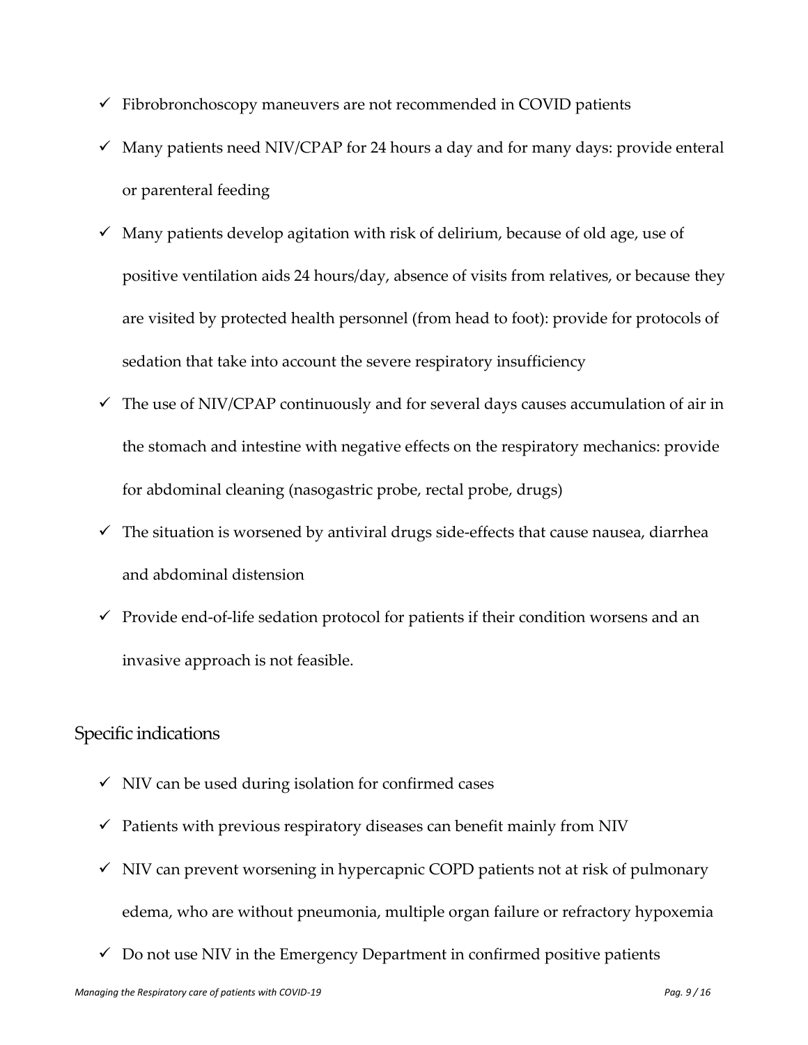- $\checkmark$  Fibrobronchoscopy maneuvers are not recommended in COVID patients
- $\checkmark$  Many patients need NIV/CPAP for 24 hours a day and for many days: provide enteral or parenteral feeding
- $\checkmark$  Many patients develop agitation with risk of delirium, because of old age, use of positive ventilation aids 24 hours/day, absence of visits from relatives, or because they are visited by protected health personnel (from head to foot): provide for protocols of sedation that take into account the severe respiratory insufficiency
- $\checkmark$  The use of NIV/CPAP continuously and for several days causes accumulation of air in the stomach and intestine with negative effects on the respiratory mechanics: provide for abdominal cleaning (nasogastric probe, rectal probe, drugs)
- $\checkmark$  The situation is worsened by antiviral drugs side-effects that cause nausea, diarrhea and abdominal distension
- $\checkmark$  Provide end-of-life sedation protocol for patients if their condition worsens and an invasive approach is not feasible.

#### <span id="page-8-0"></span>Specific indications

- $\checkmark$  NIV can be used during isolation for confirmed cases
- $\checkmark$  Patients with previous respiratory diseases can benefit mainly from NIV
- $\checkmark$  NIV can prevent worsening in hypercapnic COPD patients not at risk of pulmonary edema, who are without pneumonia, multiple organ failure or refractory hypoxemia
- $\checkmark$  Do not use NIV in the Emergency Department in confirmed positive patients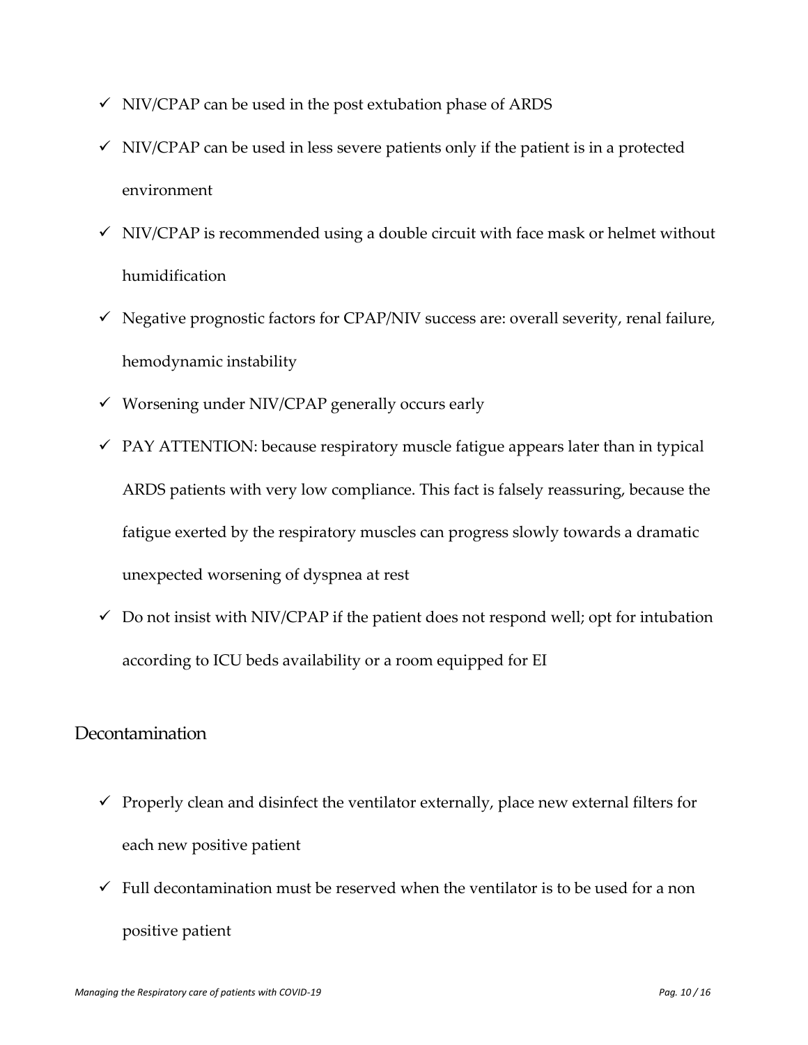- $\checkmark$  NIV/CPAP can be used in the post extubation phase of ARDS
- $\checkmark$  NIV/CPAP can be used in less severe patients only if the patient is in a protected environment
- $\checkmark$  NIV/CPAP is recommended using a double circuit with face mask or helmet without humidification
- $\checkmark$  Negative prognostic factors for CPAP/NIV success are: overall severity, renal failure, hemodynamic instability
- ✓ Worsening under NIV/CPAP generally occurs early
- $\checkmark$  PAY ATTENTION: because respiratory muscle fatigue appears later than in typical ARDS patients with very low compliance. This fact is falsely reassuring, because the fatigue exerted by the respiratory muscles can progress slowly towards a dramatic unexpected worsening of dyspnea at rest
- $\checkmark$  Do not insist with NIV/CPAP if the patient does not respond well; opt for intubation according to ICU beds availability or a room equipped for EI

#### <span id="page-9-0"></span>Decontamination

- $\checkmark$  Properly clean and disinfect the ventilator externally, place new external filters for each new positive patient
- $\checkmark$  Full decontamination must be reserved when the ventilator is to be used for a non positive patient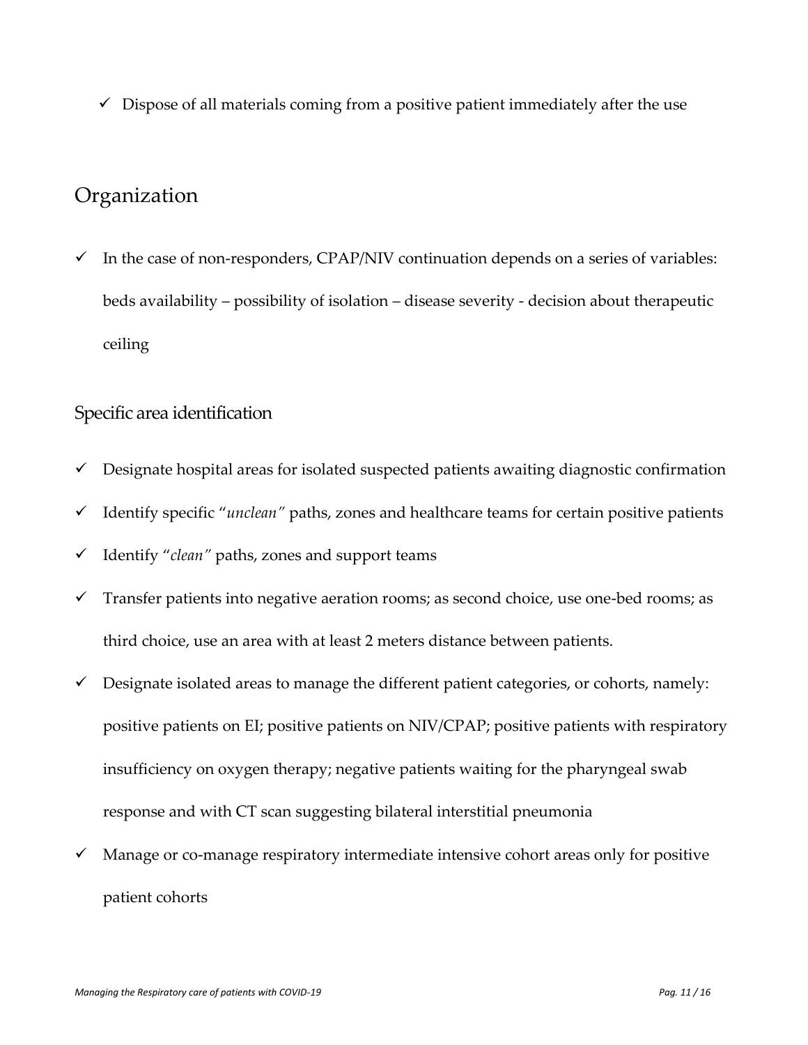$\checkmark$  Dispose of all materials coming from a positive patient immediately after the use

# <span id="page-10-0"></span>Organization

 $\checkmark$  In the case of non-responders, CPAP/NIV continuation depends on a series of variables: beds availability – possibility of isolation – disease severity - decision about therapeutic ceiling

#### <span id="page-10-1"></span>Specific area identification

- $\checkmark$  Designate hospital areas for isolated suspected patients awaiting diagnostic confirmation
- ✓ Identify specific "*unclean"* paths, zones and healthcare teams for certain positive patients
- ✓ Identify "*clean"* paths, zones and support teams
- $\checkmark$  Transfer patients into negative aeration rooms; as second choice, use one-bed rooms; as third choice, use an area with at least 2 meters distance between patients.
- $\checkmark$  Designate isolated areas to manage the different patient categories, or cohorts, namely: positive patients on EI; positive patients on NIV/CPAP; positive patients with respiratory insufficiency on oxygen therapy; negative patients waiting for the pharyngeal swab response and with CT scan suggesting bilateral interstitial pneumonia
- $\checkmark$  Manage or co-manage respiratory intermediate intensive cohort areas only for positive patient cohorts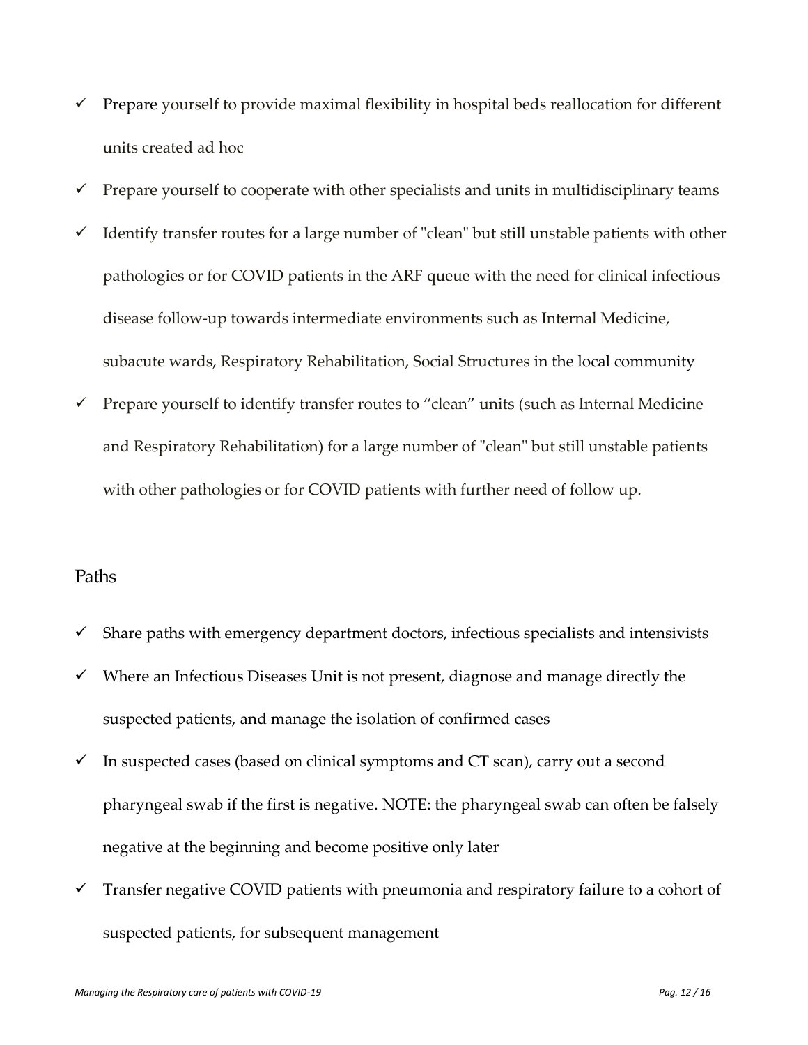- $\checkmark$  Prepare yourself to provide maximal flexibility in hospital beds reallocation for different units created ad hoc
- $\checkmark$  Prepare yourself to cooperate with other specialists and units in multidisciplinary teams
- $\checkmark$  Identify transfer routes for a large number of "clean" but still unstable patients with other pathologies or for COVID patients in the ARF queue with the need for clinical infectious disease follow-up towards intermediate environments such as Internal Medicine, subacute wards, Respiratory Rehabilitation, Social Structures in the local community
- $\checkmark$  Prepare yourself to identify transfer routes to "clean" units (such as Internal Medicine and Respiratory Rehabilitation) for a large number of "clean" but still unstable patients with other pathologies or for COVID patients with further need of follow up.

#### <span id="page-11-0"></span>Paths

- $\checkmark$  Share paths with emergency department doctors, infectious specialists and intensivists
- $\checkmark$  Where an Infectious Diseases Unit is not present, diagnose and manage directly the suspected patients, and manage the isolation of confirmed cases
- $\checkmark$  In suspected cases (based on clinical symptoms and CT scan), carry out a second pharyngeal swab if the first is negative. NOTE: the pharyngeal swab can often be falsely negative at the beginning and become positive only later
- $\checkmark$  Transfer negative COVID patients with pneumonia and respiratory failure to a cohort of suspected patients, for subsequent management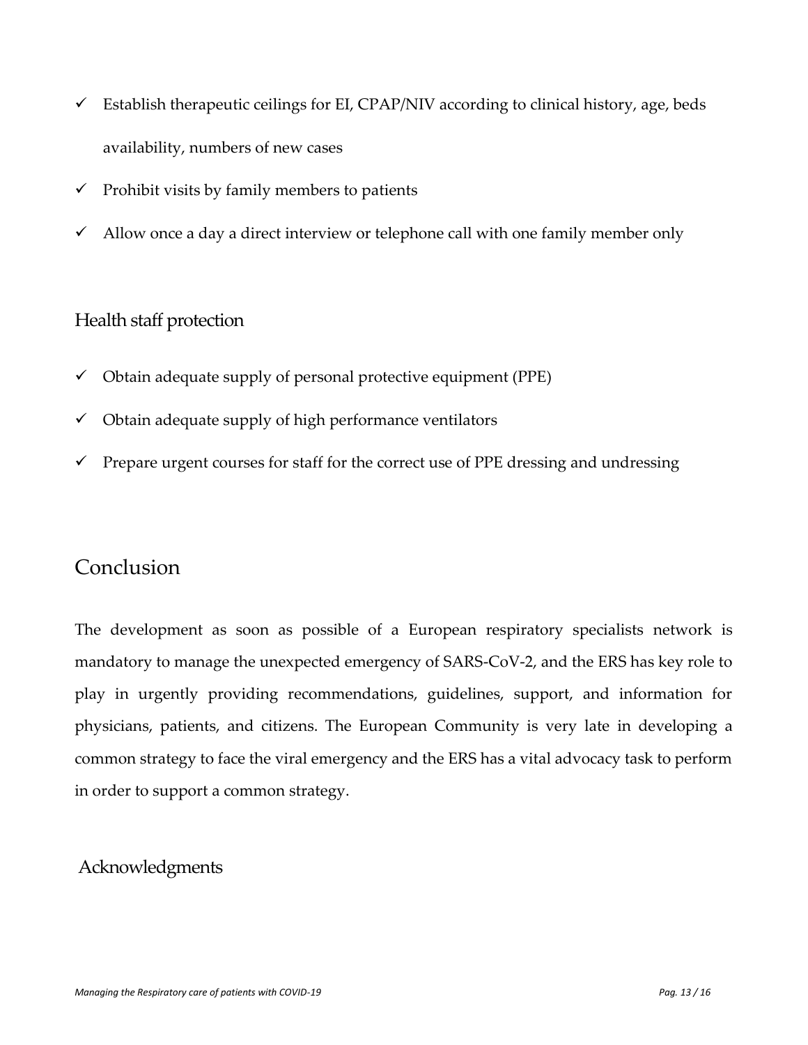- $\checkmark$  Establish therapeutic ceilings for EI, CPAP/NIV according to clinical history, age, beds availability, numbers of new cases
- $\checkmark$  Prohibit visits by family members to patients
- $\checkmark$  Allow once a day a direct interview or telephone call with one family member only

#### <span id="page-12-0"></span>Health staff protection

- $\checkmark$  Obtain adequate supply of personal protective equipment (PPE)
- $\checkmark$  Obtain adequate supply of high performance ventilators
- $\checkmark$  Prepare urgent courses for staff for the correct use of PPE dressing and undressing

### <span id="page-12-1"></span>Conclusion

The development as soon as possible of a European respiratory specialists network is mandatory to manage the unexpected emergency of SARS-CoV-2, and the ERS has key role to play in urgently providing recommendations, guidelines, support, and information for physicians, patients, and citizens. The European Community is very late in developing a common strategy to face the viral emergency and the ERS has a vital advocacy task to perform in order to support a common strategy.

#### <span id="page-12-2"></span>Acknowledgments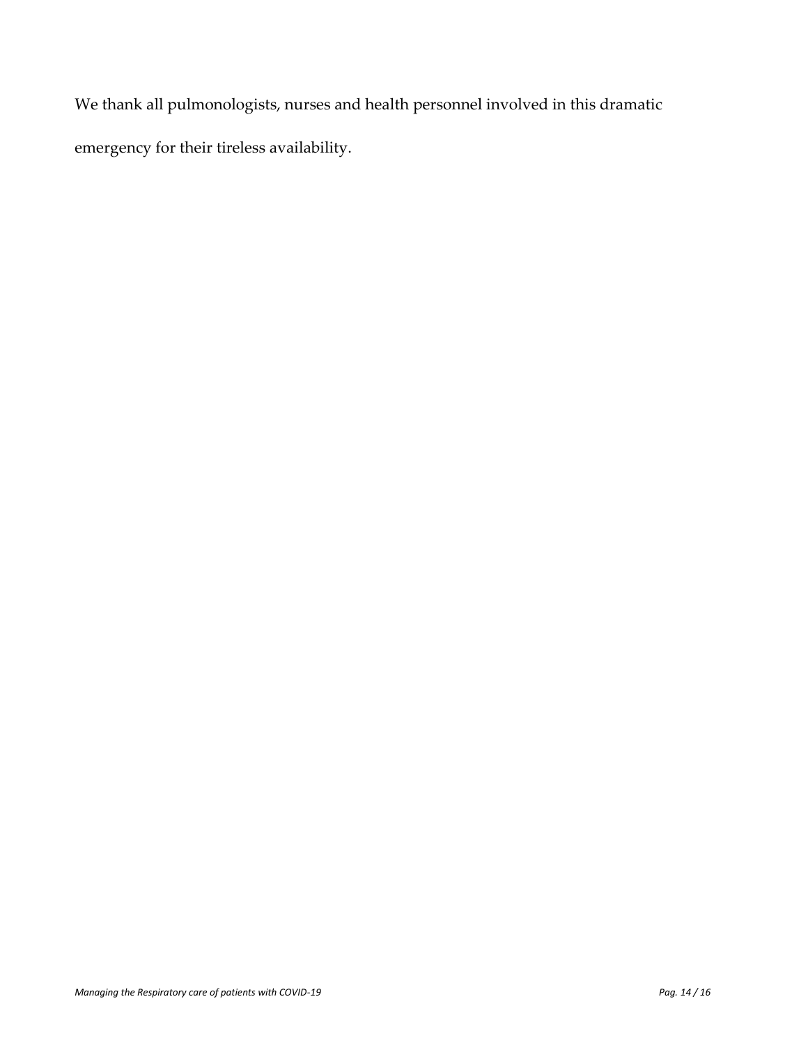We thank all pulmonologists, nurses and health personnel involved in this dramatic emergency for their tireless availability.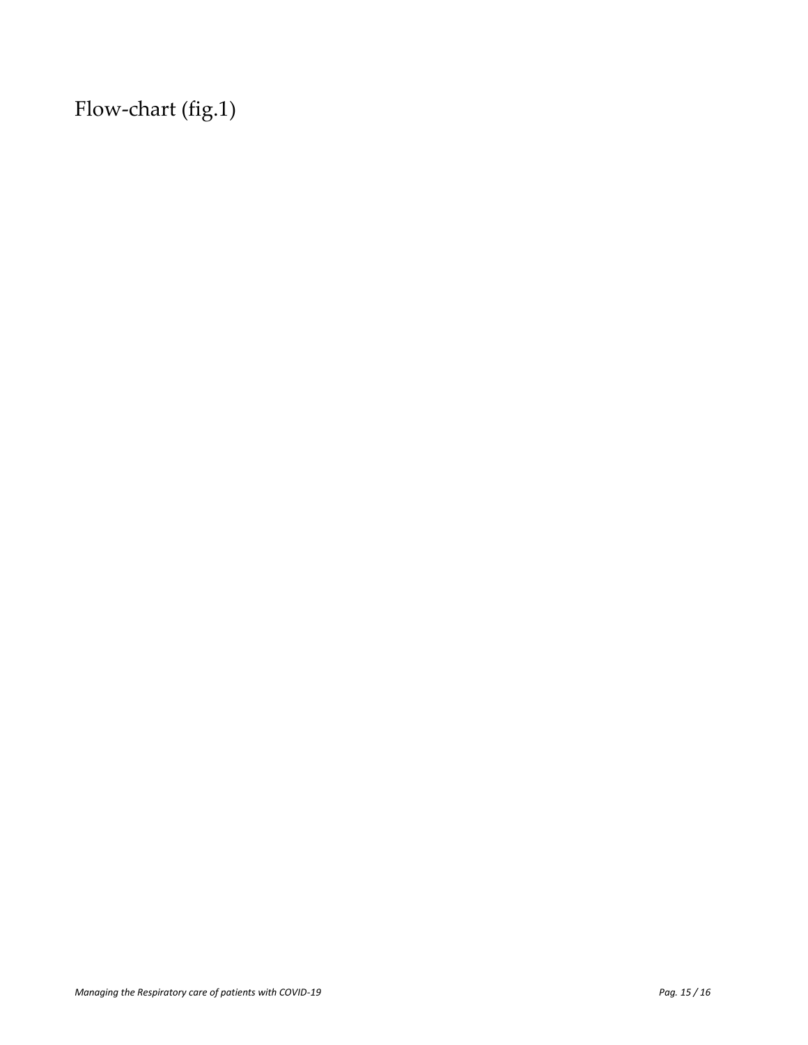<span id="page-14-0"></span>Flow-chart (fig.1)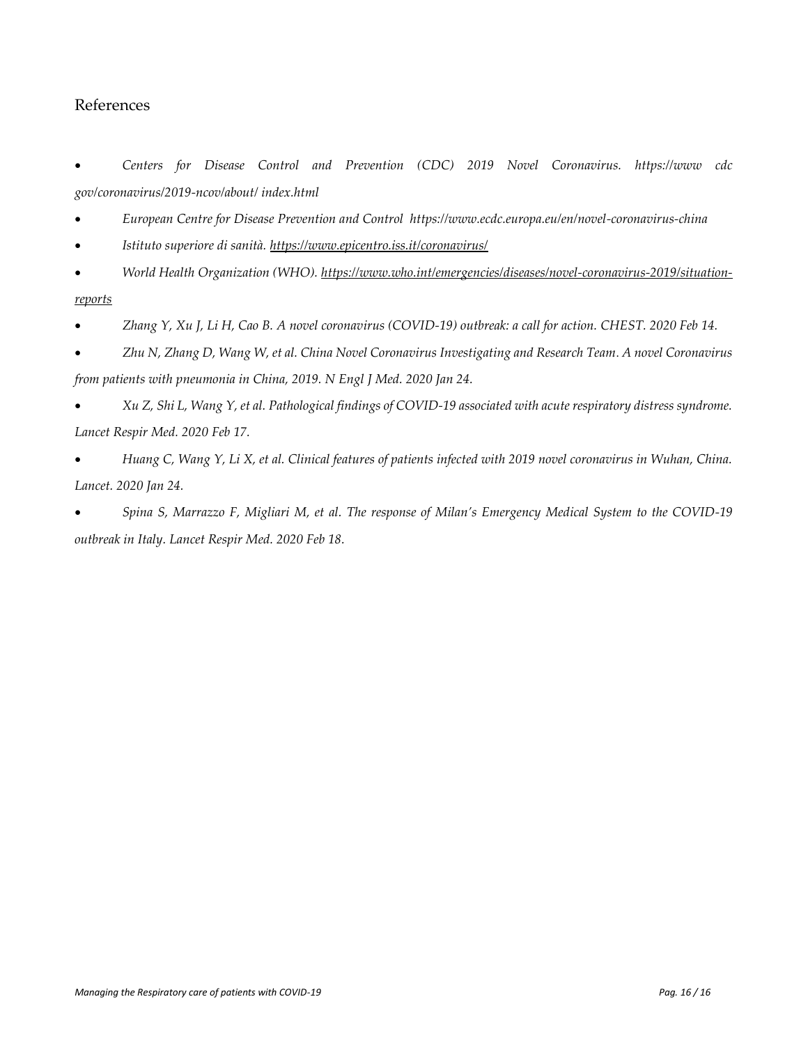#### <span id="page-15-0"></span>References

• *Centers for Disease Control and Prevention (CDC) 2019 Novel Coronavirus. https://www cdc gov/coronavirus/2019-ncov/about/ index.html* 

- *European Centre for Disease Prevention and Control https://www.ecdc.europa.eu/en/novel-coronavirus-china*
- *Istituto superiore di sanità.<https://www.epicentro.iss.it/coronavirus/>*
- *World Health Organization (WHO). [https://www.who.int/emergencies/diseases/novel-coronavirus-2019/situation](https://www.who.int/emergencies/diseases/novel-coronavirus-2019/situation-reports)[reports](https://www.who.int/emergencies/diseases/novel-coronavirus-2019/situation-reports)*
- *Zhang Y, Xu J, Li H, Cao B. A novel coronavirus (COVID-19) outbreak: a call for action. CHEST. 2020 Feb 14.*
- *Zhu N, Zhang D, Wang W, et al. China Novel Coronavirus Investigating and Research Team*. *A novel Coronavirus from patients with pneumonia in China, 2019. N Engl J Med. 2020 Jan 24.*
- *Xu Z, Shi L, Wang Y, et al. Pathological findings of COVID-19 associated with acute respiratory distress syndrome. Lancet Respir Med. 2020 Feb 17.*
- *Huang C, Wang Y, Li X, et al. Clinical features of patients infected with 2019 novel coronavirus in Wuhan, China. Lancet. 2020 Jan 24.*
- *Spina S, Marrazzo F, Migliari M, et al. The response of Milan's Emergency Medical System to the COVID-19 outbreak in Italy. Lancet Respir Med. 2020 Feb 18.*